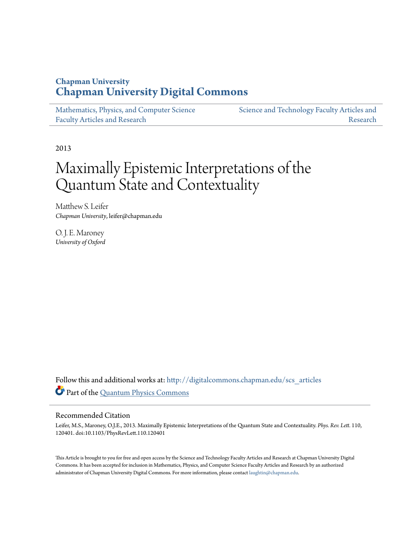### **Chapman University [Chapman University Digital Commons](http://digitalcommons.chapman.edu?utm_source=digitalcommons.chapman.edu%2Fscs_articles%2F523&utm_medium=PDF&utm_campaign=PDFCoverPages)**

| Mathematics, Physics, and Computer Science | Science and Technology Faculty Articles and |
|--------------------------------------------|---------------------------------------------|
| <b>Faculty Articles and Research</b>       | Research                                    |

2013

# Maximally Epistemic Interpretations of the Quantum State and Contextuality

Matthew S. Leifer *Chapman University*, leifer@chapman.edu

O. J. E. Maroney *University of Oxford*

Follow this and additional works at: [http://digitalcommons.chapman.edu/scs\\_articles](http://digitalcommons.chapman.edu/scs_articles?utm_source=digitalcommons.chapman.edu%2Fscs_articles%2F523&utm_medium=PDF&utm_campaign=PDFCoverPages) Part of the [Quantum Physics Commons](https://network.bepress.com/hgg/discipline/206?utm_source=digitalcommons.chapman.edu%2Fscs_articles%2F523&utm_medium=PDF&utm_campaign=PDFCoverPages)

### Recommended Citation

Leifer, M.S., Maroney, O.J.E., 2013. Maximally Epistemic Interpretations of the Quantum State and Contextuality. *Phys. Rev. Lett.* 110, 120401. doi:10.1103/PhysRevLett.110.120401

This Article is brought to you for free and open access by the Science and Technology Faculty Articles and Research at Chapman University Digital Commons. It has been accepted for inclusion in Mathematics, Physics, and Computer Science Faculty Articles and Research by an authorized administrator of Chapman University Digital Commons. For more information, please contact [laughtin@chapman.edu.](mailto:laughtin@chapman.edu)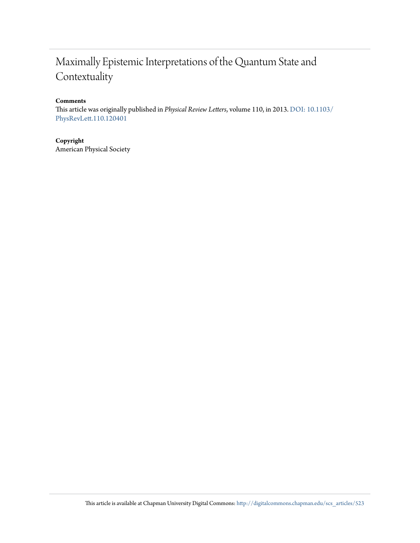## Maximally Epistemic Interpretations of the Quantum State and Contextuality

### **Comments**

This article was originally published in *Physical Review Letters*, volume 110, in 2013. [DOI: 10.1103/](http://dx.doi.org/10.1103/PhysRevLett.110.120401) [PhysRevLett.110.120401](http://dx.doi.org/10.1103/PhysRevLett.110.120401)

### **Copyright**

American Physical Society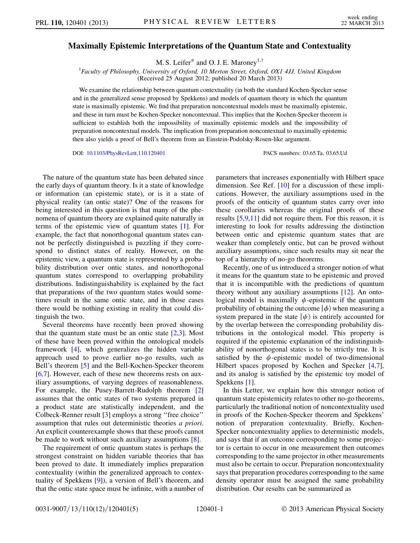#### <span id="page-2-0"></span>Maximally Epistemic Interpretations of the Quantum State and Contextuality

M. S. Leifer<sup>\*</sup> and O. J. E. Maroney<sup>1,[†](#page-5-1)</sup>

<sup>1</sup> Faculty of Philosophy, University of Oxford, 10 Merton Street, Oxford, OX1 4JJ, United Kingdom (Received 25 August 2012; published 20 March 2013)

We examine the relationship between quantum contextuality (in both the standard Kochen-Specker sense and in the generalized sense proposed by Spekkens) and models of quantum theory in which the quantum state is maximally epistemic. We find that preparation noncontextual models must be maximally epistemic, and these in turn must be Kochen-Specker noncontextual. This implies that the Kochen-Specker theorem is sufficient to establish both the impossibility of maximally epistemic models and the impossibility of preparation noncontextual models. The implication from preparation noncontextual to maximally epistemic then also yields a proof of Bell's theorem from an Einstein-Podolsky-Rosen-like argument.

DOI: [10.1103/PhysRevLett.110.120401](http://dx.doi.org/10.1103/PhysRevLett.110.120401) PACS numbers: 03.65.Ta, 03.65.Ud

The nature of the quantum state has been debated since the early days of quantum theory. Is it a state of knowledge or information (an epistemic state), or is it a state of physical reality (an ontic state)? One of the reasons for being interested in this question is that many of the phenomena of quantum theory are explained quite naturally in terms of the epistemic view of quantum states [[1\]](#page-5-2). For example, the fact that nonorthogonal quantum states cannot be perfectly distinguished is puzzling if they correspond to distinct states of reality. However, on the epistemic view, a quantum state is represented by a probability distribution over ontic states, and nonorthogonal quantum states correspond to overlapping probability distributions. Indistinguishability is explained by the fact that preparations of the two quantum states would sometimes result in the same ontic state, and in those cases there would be nothing existing in reality that could distinguish the two.

Several theorems have recently been proved showing that the quantum state must be an ontic state  $[2,3]$  $[2,3]$  $[2,3]$  $[2,3]$ . Most of these have been proved within the ontological models framework [\[4\]](#page-5-5), which generalizes the hidden variable approach used to prove earlier no-go results, such as Bell's theorem [\[5\]](#page-5-6) and the Bell-Kochen-Specker theorem [\[6,](#page-5-7)[7](#page-5-8)]. However, each of these new theorems rests on auxiliary assumptions, of varying degrees of reasonableness. For example, the Pusey-Barrett-Rudolph theorem [\[2\]](#page-5-3) assumes that the ontic states of two systems prepared in a product state are statistically independent, and the Colbeck-Renner result [[3\]](#page-5-4) employs a strong ''free choice'' assumption that rules out deterministic theories a priori. An explicit counterexample shows that these proofs cannot be made to work without such auxiliary assumptions [\[8](#page-5-9)].

The requirement of ontic quantum states is perhaps the strongest constraint on hidden variable theories that has been proved to date. It immediately implies preparation contextuality (within the generalized approach to contextuality of Spekkens [\[9](#page-5-10)]), a version of Bell's theorem, and that the ontic state space must be infinite, with a number of parameters that increases exponentially with Hilbert space dimension. See Ref. [\[10\]](#page-5-11) for a discussion of these implications. However, the auxiliary assumptions used in the proofs of the onticity of quantum states carry over into these corollaries whereas the original proofs of these results [\[5](#page-5-6),[9](#page-5-10),[11](#page-5-12)] did not require them. For this reason, it is interesting to look for results addressing the distinction between ontic and epistemic quantum states that are weaker than completely ontic, but can be proved without auxiliary assumptions, since such results may sit near the top of a hierarchy of no-go theorems.

Recently, one of us introduced a stronger notion of what it means for the quantum state to be epistemic and proved that it is incompatible with the predictions of quantum theory without any auxiliary assumptions [[12](#page-5-13)]. An ontological model is maximally  $\psi$ -epistemic if the quantum probability of obtaining the outcome  $|\phi\rangle$  when measuring a system prepared in the state  $|\psi\rangle$  is entirely accounted for by the overlap between the corresponding probability distributions in the ontological model. This property is required if the epistemic explanation of the indistinguishability of nonorthogonal states is to be strictly true. It is satisfied by the  $\psi$ -epistemic model of two-dimensional Hilbert spaces proposed by Kochen and Specker [[4](#page-5-5),[7\]](#page-5-8), and its analog is satisfied by the epistemic toy model of Spekkens [[1\]](#page-5-2).

In this Letter, we explain how this stronger notion of quantum state epistemicity relates to other no-go theorems, particularly the traditional notion of noncontextuality used in proofs of the Kochen-Specker theorem and Spekkens' notion of preparation contextuality. Briefly, Kochen-Specker noncontextuality applies to deterministic models, and says that if an outcome corresponding to some projector is certain to occur in one measurement then outcomes corresponding to the same projector in other measurements must also be certain to occur. Preparation noncontextuality says that preparation procedures corresponding to the same density operator must be assigned the same probability distribution. Our results can be summarized as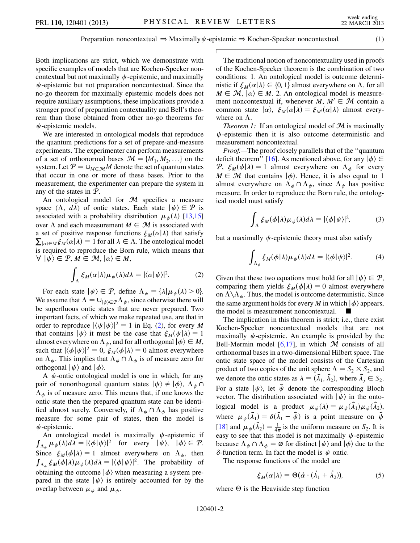Both implications are strict, which we demonstrate with specific examples of models that are Kochen-Specker noncontextual but not maximally  $\psi$ -epistemic, and maximally  $\psi$ -epistemic but not preparation noncontextual. Since the no-go theorem for maximally epistemic models does not require auxiliary assumptions, these implications provide a stronger proof of preparation contextuality and Bell's theorem than those obtained from other no-go theorems for  $\psi$ -epistemic models.

We are interested in ontological models that reproduce the quantum predictions for a set of prepare-and-measure experiments. The experimenter can perform measurements of a set of orthonormal bases  $\mathcal{M} = \{M_1, M_2, ...\}$  on the system. Let  $P = \bigcup_{M \in \mathcal{M}} M$  denote the set of quantum states that occur in one or more of these bases. Prior to the measurement, the experimenter can prepare the system in any of the states in P.

An ontological model for  $M$  specifies a measure space  $(\Lambda, d\lambda)$  of ontic states. Each state  $|\psi\rangle \in \mathcal{P}$  is associated with a probability distribution  $\mu$ . (A) [13.15] associated with a probability distribution  $\mu_{\psi}(\lambda)$  [\[13](#page-5-14)[,15\]](#page-5-15)<br>over  $\Lambda$  and each measurement  $M \in \mathcal{M}$  is associated with over  $\Lambda$  and each measurement  $M \in \mathcal{M}$  is associated with a set of positive response functions  $\xi_M(\alpha|\lambda)$  that satisfy<br>  $\sum_{\lambda} \xi_{\lambda}(\alpha|\lambda) = 1$  for all  $\lambda \in \Lambda$ . The ontological model  $\sum_{|\alpha| \in M} \xi_M(\alpha|\lambda) = 1$  for all  $\lambda \in \Lambda$ . The ontological model<br>is required to reproduce the Born rule, which means that is required to reproduce the Born rule, which means that  $\forall \vert \psi \rangle \in \mathcal{P}, M \in \mathcal{M}, |\alpha \rangle \in M,$ 

$$
\int_{\Lambda} \xi_M(\alpha|\lambda) \mu_{\psi}(\lambda) d\lambda = |\langle \alpha | \psi \rangle|^2. \tag{2}
$$

<span id="page-3-0"></span>For each state  $|\psi\rangle \in \mathcal{P}$ , define  $\Lambda_{\psi} = {\lambda | \mu_{\psi}(\lambda) > 0}$ . We assume that  $\Lambda = \bigcup_{|\psi\rangle \in \mathcal{P}} \Lambda_{\psi}$ , since otherwise there will be superfluous ontic states that are never prepared. Two important facts, of which we make repeated use, are that in order to reproduce  $|\langle \psi | \psi \rangle|^2 = 1$  $|\langle \psi | \psi \rangle|^2 = 1$  $|\langle \psi | \psi \rangle|^2 = 1$  in Eq. (2), for every M that contains  $|\psi\rangle$  it must be the case that  $\xi_M(\psi|\lambda) = 1$ <br>almost everywhere on  $\Lambda_{\epsilon}$  and for all orthogonal  $|\phi\rangle \in M$ almost everywhere on  $\Lambda_{\psi}$ , and for all orthogonal  $|\phi\rangle \in M$ , such that  $|\langle \phi | \psi \rangle|^2 = 0$ ,  $\xi_M(\phi | \lambda) = 0$  almost everywhere<br>on  $\Lambda$ . This implies that  $\Lambda$ ,  $\Omega \Lambda$ , is of measure zero for on  $\Lambda_{\psi}$ . This implies that  $\Lambda_{\psi} \cap \Lambda_{\phi}$  is of measure zero for orthogonal  $|\psi\rangle$  and  $|\phi\rangle$ .

A  $\psi$ -ontic ontological model is one in which, for any pair of nonorthogonal quantum states  $|\psi\rangle \neq |\phi\rangle$ ,  $\Lambda_{\psi} \cap$  $\Lambda_{\phi}$  is of measure zero. This means that, if one knows the ontic state then the prepared quantum state can be identified almost surely. Conversely, if  $\Lambda_{\psi} \cap \Lambda_{\phi}$  has positive measure for some pair of states, then the model is  $\psi$ -epistemic.

An ontological model is maximally  $\psi$ -epistemic if  $\int_{\Lambda_{\phi}} \mu_{\psi}(\lambda) d\lambda = |\langle \phi | \psi \rangle|^2$  for every  $|\psi \rangle$ ,  $|\phi \rangle \in \mathcal{P}$ . Since  $\xi_M(\phi|\lambda) = 1$  almost everywhere on  $\Lambda_{\phi}$ , then<br> $\int_{\phi} \xi(\phi|\lambda) \mu(\lambda) d\lambda = |\langle \phi | \psi \rangle|^2$ . The probability of  $\int_{\Lambda_{\phi}} \xi_M(\phi|\lambda)\mu_{\psi}(\lambda)d\lambda = |\langle \phi | \psi \rangle|^2$ . The probability of obtaining the outcome  $|\phi\rangle$  when measuring a system prepared in the state  $|\psi\rangle$  is entirely accounted for by the overlap between  $\mu_{\psi}$  and  $\mu_{\phi}$ .

The traditional notion of noncontextuality used in proofs of the Kochen-Specker theorem is the combination of two conditions: 1. An ontological model is outcome deterministic if  $\xi_M(\alpha|\lambda) \in \{0, 1\}$  almost everywhere on  $\Lambda$ , for all  $M \in \mathcal{M}$   $|\alpha\rangle \in M$  2. An ontological model is measure- $M \in \mathcal{M}, |\alpha\rangle \in M$ . 2. An ontological model is measurement noncontextual if, whenever  $M, M' \in \mathcal{M}$  contain a common state  $|\alpha\rangle$ ,  $\dot{\xi}_M(\alpha|\lambda) = \xi_{M'}(\alpha|\lambda)$  almost every-<br>where on  $\Lambda$ where on  $\Lambda$ .

*Theorem 1:* If an ontological model of  $M$  is maximally  $\psi$ -epistemic then it is also outcome deterministic and measurement noncontextual.

Proof.—The proof closely parallels that of the ''quantum deficit theorem'' [[16](#page-5-16)]. As mentioned above, for any  $|\phi\rangle \in$ P,  $\xi_M(\phi|\lambda) = 1$  almost everywhere on  $\Lambda_{\phi}$  for every  $M \in \mathcal{M}$  that contains  $|\phi \rangle$ . Hence it is also equal to 1  $M \in \mathcal{M}$  that contains  $|\phi\rangle$ . Hence, it is also equal to 1 almost everywhere on  $\Lambda_{\phi} \cap \Lambda_{\psi}$ , since  $\Lambda_{\psi}$  has positive measure. In order to reproduce the Born rule, the ontological model must satisfy

$$
\int_{\Lambda} \xi_M(\phi|\lambda) \mu_{\psi}(\lambda) d\lambda = |\langle \phi | \psi \rangle|^2, \tag{3}
$$

but a maximally  $\psi$ -epistemic theory must also satisfy

$$
\int_{\Lambda_{\phi}} \xi_M(\phi|\lambda) \mu_{\psi}(\lambda) d\lambda = |\langle \phi | \psi \rangle|^2. \tag{4}
$$

Given that these two equations must hold for all  $|\psi\rangle \in \mathcal{P}$ , comparing them yields  $\xi_M(\phi|\lambda) = 0$  almost everywhere<br>on  $\Lambda \setminus \Lambda$ . Thus the model is outcome deterministic. Since on  $\Lambda \backslash \Lambda_{\phi}$ . Thus, the model is outcome deterministic. Since the same argument holds for every M in which  $\ket{\phi}$  appears, the model is measurement noncontextual.

The implication in this theorem is strict; i.e., there exist Kochen-Specker noncontextual models that are not maximally  $\psi$ -epistemic. An example is provided by the Bell-Mermin model  $[6,17]$  $[6,17]$  $[6,17]$ , in which M consists of all orthonormal bases in a two-dimensional Hilbert space. The ontic state space of the model consists of the Cartesian product of two copies of the unit sphere  $\Lambda = S_2 \times S_2$ , and we denote the ontic states as  $\lambda = (\vec{\lambda}_1, \vec{\lambda}_2)$ , where  $\vec{\lambda}_j \in S_2$ . For a state  $|\psi\rangle$ , let  $\vec{\psi}$  denote the corresponding Bloch vector. The distribution associated with  $|\psi\rangle$  in the ontological model is a product  $\mu_{\psi}(\lambda) = \mu_{\psi}(\vec{\lambda}_1)\mu_{\psi}(\vec{\lambda}_2)$ , where  $\mu_{\psi}(\vec{\lambda}_1) = \delta(\vec{\lambda})$  $\vec{u}_1 - \vec{\psi}$ ) is a point measure on  $\vec{\psi}$ [\[18\]](#page-5-18) and  $\mu_{\psi}(\vec{\lambda}_2) = \frac{1}{4\pi}$  is the uniform measure on  $S_2$ . It is easy to see that this model is not maximally  $\psi$ -epistemic because  $\Lambda_{\psi} \cap \Lambda_{\phi} = \emptyset$  for distinct  $|\psi\rangle$  and  $|\phi\rangle$  due to the  $\delta$ -function term. In fact the model is  $\psi$  ontic.

<span id="page-3-1"></span>The response functions of the model are

$$
\xi_M(\alpha|\lambda) = \Theta(\vec{\alpha} \cdot (\vec{\lambda}_1 + \vec{\lambda}_2)), \tag{5}
$$

where  $\Theta$  is the Heaviside step function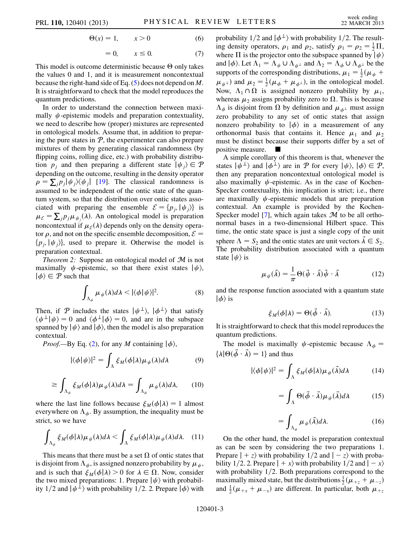$$
\Theta(x) = 1, \qquad x > 0 \tag{6}
$$

$$
= 0, \qquad x \le 0. \tag{7}
$$

This model is outcome deterministic because  $\Theta$  only takes the values 0 and 1, and it is measurement noncontextual because the right-hand side of Eq. ([5](#page-3-1)) does not depend on M. It is straightforward to check that the model reproduces the quantum predictions.

In order to understand the connection between maximally  $\psi$ -epistemic models and preparation contextuality, we need to describe how (proper) mixtures are represented in ontological models. Assume that, in addition to preparing the pure states in  $P$ , the experimenter can also prepare mixtures of them by generating classical randomness (by flipping coins, rolling dice, etc.) with probability distribution  $p_i$  and then preparing a different state  $|\psi_i\rangle \in \mathcal{P}$ depending on the outcome, resulting in the density operator  $\rho = \sum_j p_j |\psi_j\rangle\langle\psi_j|$  [\[19\]](#page-6-0). The classical randomness is assumed to be independent of the ontic state of the quantum system, so that the distribution over ontic states associated with preparing the ensemble  $\mathcal{E} = \{p_i, |\psi_i\rangle\}$  is  $\mu_{\mathcal{E}} = \sum_j p_j \mu_{\psi_j}(\lambda)$ . An ontological model is preparation proportivity if  $\psi_{\psi}(\lambda)$  depends only on the depoity operation noncontextual if  $\mu_{\mathcal{E}}(\lambda)$  depends only on the density opera-<br>tor  $\rho$  and not on the specific ensemble decomposition  $\mathcal{E} =$ tor  $\rho$ , and not on the specific ensemble decomposition,  $\mathcal{E} =$  $\{p_i, \psi_i\}$ , used to prepare it. Otherwise the model is preparation contextual.

*Theorem 2:* Suppose an ontological model of  $M$  is not maximally  $\psi$ -epistemic, so that there exist states  $|\psi\rangle$ ,  $|\phi\rangle \in \mathcal{P}$  such that

$$
\int_{\Lambda_{\phi}} \mu_{\psi}(\lambda) d\lambda < |\langle \phi | \psi \rangle|^2. \tag{8}
$$

Then, if P includes the states  $|\psi^{\perp}\rangle$ ,  $|\phi^{\perp}\rangle$  that satisfy  $\langle \psi^{\perp} | \psi \rangle = 0$  and  $\langle \phi^{\perp} | \phi \rangle = 0$ , and are in the subspace spanned by  $|\psi\rangle$  and  $|\phi\rangle$ , then the model is also preparation contextual.

*Proof.*—By Eq. ([2\)](#page-3-0), for any M containing  $|\phi\rangle$ ,

$$
|\langle \phi | \psi \rangle|^2 = \int_{\Lambda} \xi_M(\phi | \lambda) \mu_{\psi}(\lambda) d\lambda \tag{9}
$$

$$
\geq \int_{\Lambda_{\phi}} \xi_{M}(\phi|\lambda) \mu_{\psi}(\lambda) d\lambda = \int_{\Lambda_{\phi}} \mu_{\psi}(\lambda) d\lambda, \qquad (10)
$$

where the last line follows because  $\zeta_M(\phi|\lambda) = 1$  almost everywhere on  $\Lambda_i$ . By assumption the inequality must be everywhere on  $\Lambda_{\phi}$ . By assumption, the inequality must be strict, so we have

$$
\int_{\Lambda_{\phi}} \xi_{M}(\phi|\lambda) \mu_{\psi}(\lambda) d\lambda \leq \int_{\Lambda} \xi_{M}(\phi|\lambda) \mu_{\psi}(\lambda) d\lambda. \quad (11)
$$

This means that there must be a set  $\Omega$  of ontic states that is disjoint from  $\Lambda_{\phi}$ , is assigned nonzero probability by  $\mu_{\psi}$ , and is such that  $\dot{\xi}_M(\phi|\lambda) > 0$  for  $\lambda \in \Omega$ . Now, consider the two mixed preparations: 1 Prepare  $|\psi\rangle$  with probabilthe two mixed preparations: 1. Prepare  $|\psi\rangle$  with probability 1/2 and  $|\psi^{\perp}\rangle$  with probability 1/2. 2. Prepare  $|\phi\rangle$  with probability  $1/2$  and  $\ket{\phi^{\perp}}$  with probability 1/2. The resulting density operators,  $\rho_1$  and  $\rho_2$ , satisfy  $\rho_1 = \rho_2 = \frac{1}{2} \Pi$ ,<br>where  $\Pi$  is the projector onto the subspace spanned by  $|\psi_1\rangle$ where  $\Pi$  is the projector onto the subspace spanned by  $|\psi\rangle$ and  $|\phi\rangle$ . Let  $\Lambda_1 = \Lambda_{\psi} \cup \Lambda_{\psi^{\perp}}$  and  $\Lambda_2 = \Lambda_{\phi} \cup \Lambda_{\phi^{\perp}}$  be the supports of the corresponding distributions,  $\mu_1 = \frac{1}{2}(\mu_{\psi} + \mu_{\psi})$  ond  $\mu_{\psi} = \frac{1}{2}(\mu_{\psi} + \mu_{\psi})$  in the ortological model.  $(\mu_{\psi^{\perp}})$  and  $\mu_2 = \frac{1}{2}(\mu_{\phi} + \mu_{\phi^{\perp}})$ , in the ontological model. Now,  $\Lambda_1 \cap \Omega$  is assigned nonzero probability by  $\mu_1$ , whereas  $\mu_2$  assigns probability zero to  $\Omega$ . This is because  $\Lambda_{\phi}$  is disjoint from  $\Omega$  by definition and  $\mu_{\phi}$  must assign zero probability to any set of ontic states that assign nonzero probability to  $|\phi\rangle$  in a measurement of any orthonormal basis that contains it. Hence  $\mu_1$  and  $\mu_2$ must be distinct because their supports differ by a set of positive measure.

A simple corollary of this theorem is that, whenever the states  $|\psi^{\perp}\rangle$  and  $|\phi^{\perp}\rangle$  are in P for every  $|\psi\rangle$ ,  $|\phi\rangle \in \mathcal{P}$ , then any preparation noncontextual ontological model is also maximally  $\psi$ -epistemic. As in the case of Kochen-Specker contextuality, this implication is strict; i.e., there are maximally  $\psi$ -epistemic models that are preparation contextual. An example is provided by the Kochen-Specker model [\[7](#page-5-8)], which again takes  $M$  to be all orthonormal bases in a two-dimensional Hilbert space. This time, the ontic state space is just a single copy of the unit sphere  $\Lambda = S_2$  and the ontic states are unit vectors  $\vec{\lambda} \in S_2$ .<br>The probability distribution associated with a quantum The probability distribution associated with a quantum state  $|\psi\rangle$  is

$$
\mu_{\psi}(\vec{\lambda}) = \frac{1}{\pi} \Theta(\vec{\psi} \cdot \vec{\lambda}) \vec{\psi} \cdot \vec{\lambda}
$$
 (12)

and the response function associated with a quantum state  $| \phi \rangle$  is

$$
\xi_M(\phi|\lambda) = \Theta(\vec{\phi} \cdot \vec{\lambda}). \tag{13}
$$

It is straightforward to check that this model reproduces the quantum predictions.

The model is maximally  $\psi$ -epistemic because  $\Lambda_{\phi}$  =  $\{\lambda | \Theta(\vec{\phi} \cdot \vec{\lambda}) = 1\}$  and thus

$$
|\langle \phi | \psi \rangle|^2 = \int_{\Lambda} \xi_M(\phi | \lambda) \mu_{\psi}(\vec{\lambda}) d\lambda \tag{14}
$$

$$
= \int_{\Lambda} \Theta(\vec{\phi} \cdot \vec{\lambda}) \mu_{\psi}(\vec{\lambda}) d\lambda \tag{15}
$$

$$
= \int_{\Lambda_{\phi}} \mu_{\psi}(\vec{\lambda}) d\lambda. \tag{16}
$$

On the other hand, the model is preparation contextual as can be seen by considering the two preparations 1. Prepare  $|+z\rangle$  with probability  $1/2$  and  $|z\rangle$  with proba-<br>bility  $1/2$  2 Prepare  $|+x\rangle$  with probability  $1/2$  and  $|z\rangle$ bility 1/2. 2. Prepare  $|+x\rangle$  with probability  $1/2$  and  $|-x\rangle$  with probability 1/2. Both preparations correspond to the with probability  $1/2$ . Both preparations correspond to the maximally mixed state, but the distributions  $\frac{1}{2}(\mu_{+z} + \mu_{-z})$ <br>and  $\frac{1}{2}(\mu_{+z} + \mu_{-z})$  are different. In particular, both  $\mu$ and  $\frac{1}{2}(\mu_{+x} + \mu_{-x})$  are different. In particular, both  $\mu_{+z}$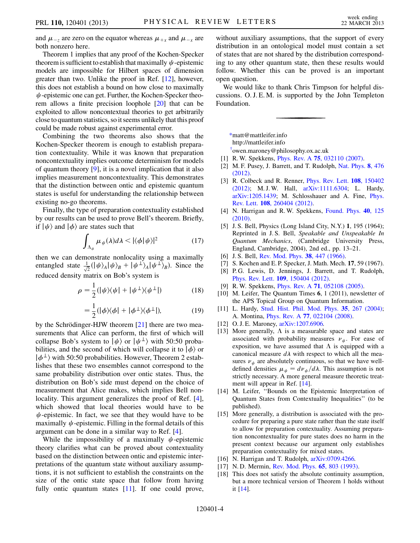and  $\mu_{-z}$  are zero on the equator whereas  $\mu_{+x}$  and  $\mu_{-x}$  are both nonzero here.

Theorem 1 implies that any proof of the Kochen-Specker theorem is sufficient to establish that maximally  $\psi$ -epistemic models are impossible for Hilbert spaces of dimension greater than two. Unlike the proof in Ref. [[12](#page-5-13)], however, this does not establish a bound on how close to maximally  $\psi$ -epistemic one can get. Further, the Kochen-Specker theorem allows a finite precision loophole [\[20](#page-6-1)] that can be exploited to allow noncontextual theories to get arbitrarily close to quantum statistics, so it seems unlikely that this proof could be made robust against experimental error.

Combining the two theorems also shows that the Kochen-Specker theorem is enough to establish preparation contextuality. While it was known that preparation noncontextuality implies outcome determinism for models of quantum theory [\[9](#page-5-10)], it is a novel implication that it also implies measurement noncontextuality. This demonstrates that the distinction between ontic and epistemic quantum states is useful for understanding the relationship between existing no-go theorems.

Finally, the type of preparation contextuality established by our results can be used to prove Bell's theorem. Briefly, if  $|\psi\rangle$  and  $|\phi\rangle$  are states such that

$$
\int_{\Lambda_{\phi}} \mu_{\psi}(\lambda) d\lambda < |\langle \phi | \psi \rangle|^2 \tag{17}
$$

then we can demonstrate nonlocality using a maximally entangled state  $\frac{1}{\sqrt{2}}(|\psi\rangle_A |\psi\rangle_B + |\psi^{\perp}\rangle_A |\psi^{\perp}\rangle_B$ ). Since the reduced density matrix on Bob's system is

$$
\rho = \frac{1}{2} (|\psi\rangle\langle\psi| + |\psi^{\perp}\rangle\langle\psi^{\perp}|) \tag{18}
$$

$$
= \frac{1}{2} (|\phi\rangle\langle\phi| + |\phi^{\perp}\rangle\langle\phi^{\perp}|), \tag{19}
$$

by the Schrödinger-HJW theorem  $[21]$  $[21]$  $[21]$  there are two measurements that Alice can perform, the first of which will collapse Bob's system to  $|\psi\rangle$  or  $|\psi^{\perp}\rangle$  with 50:50 probabilities, and the second of which will collapse it to  $|\phi\rangle$  or  $|\phi^{\perp}\rangle$  with 50:50 probabilities. However, Theorem 2 establishes that these two ensembles cannot correspond to the same probability distribution over ontic states. Thus, the distribution on Bob's side must depend on the choice of measurement that Alice makes, which implies Bell nonlocality. This argument generalizes the proof of Ref. [[4\]](#page-5-5), which showed that local theories would have to be  $\psi$ -epistemic. In fact, we see that they would have to be maximally  $\psi$ -epistemic. Filling in the formal details of this argument can be done in a similar way to Ref. [[4\]](#page-5-5).

While the impossibility of a maximally  $\psi$ -epistemic theory clarifies what can be proved about contextuality based on the distinction between ontic and epistemic interpretations of the quantum state without auxiliary assumptions, it is not sufficient to establish the constraints on the size of the ontic state space that follow from having fully ontic quantum states [[11\]](#page-5-12). If one could prove, without auxiliary assumptions, that the support of every distribution in an ontological model must contain a set of states that are not shared by the distribution corresponding to any other quantum state, then these results would follow. Whether this can be proved is an important open question.

We would like to thank Chris Timpson for helpful discussions. O. J. E. M. is supported by the John Templeton Foundation.

<span id="page-5-0"></span>[\\*m](#page-2-0)att@mattleifer.info

http://mattleifer.info

[†](#page-2-0) owen.maroney@philosophy.ox.ac.uk

- <span id="page-5-3"></span><span id="page-5-2"></span><span id="page-5-1"></span>[1] R. W. Spekkens, Phys. Rev. A 75[, 032110 \(2007\)](http://dx.doi.org/10.1103/PhysRevA.75.032110).
- [2] M. F. Pusey, J. Barrett, and T. Rudolph, [Nat. Phys.](http://dx.doi.org/10.1038/nphys2309) 8, 476 [\(2012\)](http://dx.doi.org/10.1038/nphys2309).
- <span id="page-5-4"></span>[3] R. Colbeck and R. Renner, *[Phys. Rev. Lett.](http://dx.doi.org/10.1103/PhysRevLett.108.150402)* **108**, 150402 [\(2012\)](http://dx.doi.org/10.1103/PhysRevLett.108.150402); M. J. W. Hall, [arXiv:1111.6304](http://arXiv.org/abs/1111.6304); L. Hardy, [arXiv:1205.1439;](http://arXiv.org/abs/1205.1439) M. Schlosshauer and A. Fine, [Phys.](http://dx.doi.org/10.1103/PhysRevLett.108.260404) Rev. Lett. 108[, 260404 \(2012\).](http://dx.doi.org/10.1103/PhysRevLett.108.260404)
- <span id="page-5-5"></span>[4] N. Harrigan and R.W. Spekkens, [Found. Phys.](http://dx.doi.org/10.1007/s10701-009-9347-0) 40, 125 [\(2010\)](http://dx.doi.org/10.1007/s10701-009-9347-0).
- <span id="page-5-6"></span>[5] J. S. Bell, Physics (Long Island City, N.Y.) 1, 195 (1964); Reprinted in J. S. Bell, Speakable and Unspeakable In Quantum Mechanics, (Cambridge University Press, England, Cambridge, 2004), 2nd ed., pp. 13–21.
- <span id="page-5-8"></span><span id="page-5-7"></span>[6] J. S. Bell, [Rev. Mod. Phys.](http://dx.doi.org/10.1103/RevModPhys.38.447) **38**, 447 (1966).
- <span id="page-5-9"></span>[7] S. Kochen and E. P. Specker, J. Math. Mech. 17, 59 (1967).
- [8] P. G. Lewis, D. Jennings, J. Barrett, and T. Rudolph, Phys. Rev. Lett. 109[, 150404 \(2012\).](http://dx.doi.org/10.1103/PhysRevLett.109.150404)
- <span id="page-5-10"></span>[9] R. W. Spekkens, Phys. Rev. A 71[, 052108 \(2005\)](http://dx.doi.org/10.1103/PhysRevA.71.052108).
- <span id="page-5-11"></span>[10] M. Leifer, The Quantum Times 6, 1 (2011), newsletter of the APS Topical Group on Quantum Information.
- <span id="page-5-12"></span>[11] L. Hardy, [Stud. Hist. Phil. Mod. Phys.](http://dx.doi.org/10.1016/j.shpsb.2003.12.001) 35, 267 (2004); A. Montina, Phys. Rev. A 77[, 022104 \(2008\).](http://dx.doi.org/10.1103/PhysRevA.77.022104)
- <span id="page-5-14"></span><span id="page-5-13"></span>[12] O. J. E. Maroney,  $arXiv:1207.6906$ .
- [13] More generally,  $\Lambda$  is a measurable space and states are associated with probability measures  $\nu_{\psi}$ . For ease of exposition, we have assumed that  $\Lambda$  is equipped with a canonical measure  $d\lambda$  with respect to which all the measures  $v_{\psi}$  are absolutely continuous, so that we have welldefined densities  $\mu_{\psi} = d\nu_{\psi}/d\lambda$ . This assumption is not<br>strictly necessary. A more general measure theoretic treatstrictly necessary. A more general measure theoretic treatment will appear in Ref. [[14](#page-5-19)].
- <span id="page-5-19"></span>[14] M. Leifer, ''Bounds on the Epistemic Interpretation of Quantum States from Contextuality Inequalities'' (to be published).
- <span id="page-5-15"></span>[15] More generally, a distribution is associated with the procedure for preparing a pure state rather than the state itself to allow for preparation contextuality. Assuming preparation noncontextuality for pure states does no harm in the present context because our argument only establishes preparation contextuality for mixed states.
- <span id="page-5-17"></span><span id="page-5-16"></span>[16] N. Harrigan and T. Rudolph, [arXiv:0709.4266.](http://arXiv.org/abs/0709.4266)
- <span id="page-5-18"></span>[17] N.D. Mermin, [Rev. Mod. Phys.](http://dx.doi.org/10.1103/RevModPhys.65.803) **65**, 803 (1993).
- [18] This does not satisfy the absolute continuity assumption, but a more technical version of Theorem 1 holds without it [\[14\]](#page-5-19).